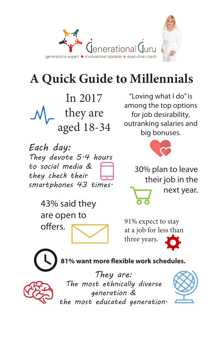

# **A Quick Guide to Millennials**

In 2017 they are aged 18-34

*Each day: They devote 5.4 hours to social media & they check their smartphones 43 times.*

"Loving what I do" is among the top options for job desirability, outranking salaries and big bonuses.



30% plan to leave their job in the next year.

43% said they are open to offers.

at a job for less than three years.



**81% want more flexible work schedules.**



*They are: The most ethnically diverse generation & the most educated generation.*